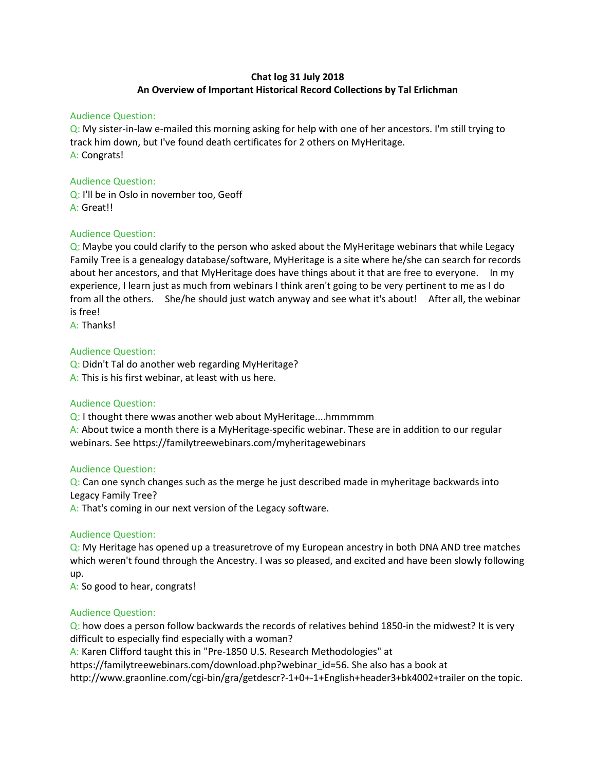# Chat log 31 July 2018 An Overview of Important Historical Record Collections by Tal Erlichman

## Audience Question:

Q: My sister-in-law e-mailed this morning asking for help with one of her ancestors. I'm still trying to track him down, but I've found death certificates for 2 others on MyHeritage. A: Congrats!

# Audience Question:

Q: I'll be in Oslo in november too, Geoff A: Great!!

# Audience Question:

Q: Maybe you could clarify to the person who asked about the MyHeritage webinars that while Legacy Family Tree is a genealogy database/software, MyHeritage is a site where he/she can search for records about her ancestors, and that MyHeritage does have things about it that are free to everyone. In my experience, I learn just as much from webinars I think aren't going to be very pertinent to me as I do from all the others. She/he should just watch anyway and see what it's about! After all, the webinar is free!

A: Thanks!

# Audience Question:

Q: Didn't Tal do another web regarding MyHeritage? A: This is his first webinar, at least with us here.

#### Audience Question:

Q: I thought there wwas another web about MyHeritage....hmmmmm A: About twice a month there is a MyHeritage-specific webinar. These are in addition to our regular webinars. See https://familytreewebinars.com/myheritagewebinars

#### Audience Question:

Q: Can one synch changes such as the merge he just described made in myheritage backwards into Legacy Family Tree?

A: That's coming in our next version of the Legacy software.

#### Audience Question:

Q: My Heritage has opened up a treasuretrove of my European ancestry in both DNA AND tree matches which weren't found through the Ancestry. I was so pleased, and excited and have been slowly following up.

A: So good to hear, congrats!

#### Audience Question:

Q: how does a person follow backwards the records of relatives behind 1850-in the midwest? It is very difficult to especially find especially with a woman?

A: Karen Clifford taught this in "Pre-1850 U.S. Research Methodologies" at

https://familytreewebinars.com/download.php?webinar\_id=56. She also has a book at

http://www.graonline.com/cgi-bin/gra/getdescr?-1+0+-1+English+header3+bk4002+trailer on the topic.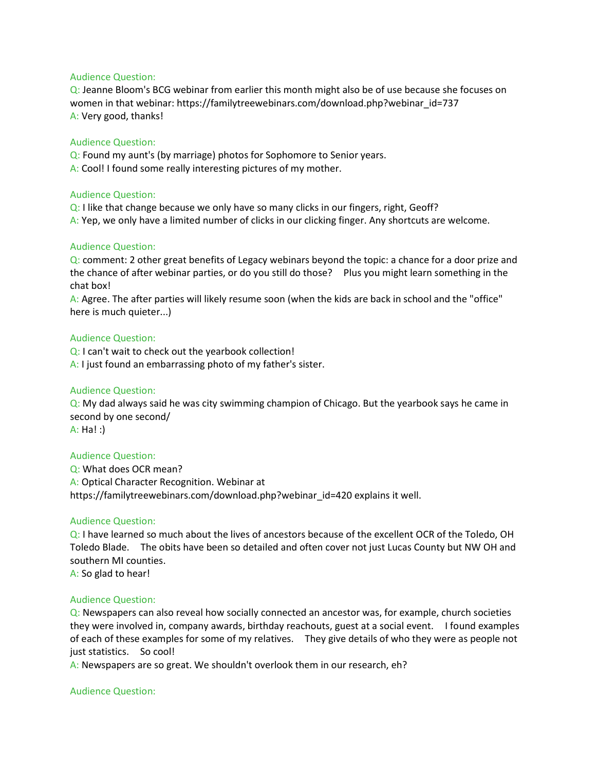#### Audience Question:

Q: Jeanne Bloom's BCG webinar from earlier this month might also be of use because she focuses on women in that webinar: https://familytreewebinars.com/download.php?webinar\_id=737 A: Very good, thanks!

#### Audience Question:

Q: Found my aunt's (by marriage) photos for Sophomore to Senior years.

A: Cool! I found some really interesting pictures of my mother.

#### Audience Question:

Q: I like that change because we only have so many clicks in our fingers, right, Geoff? A: Yep, we only have a limited number of clicks in our clicking finger. Any shortcuts are welcome.

# Audience Question:

Q: comment: 2 other great benefits of Legacy webinars beyond the topic: a chance for a door prize and the chance of after webinar parties, or do you still do those? Plus you might learn something in the chat box!

A: Agree. The after parties will likely resume soon (when the kids are back in school and the "office" here is much quieter...)

# Audience Question:

Q: I can't wait to check out the yearbook collection! A: I just found an embarrassing photo of my father's sister.

## Audience Question:

Q: My dad always said he was city swimming champion of Chicago. But the yearbook says he came in second by one second/ A: Ha! :)

#### Audience Question:

Q: What does OCR mean? A: Optical Character Recognition. Webinar at https://familytreewebinars.com/download.php?webinar\_id=420 explains it well.

#### Audience Question:

Q: I have learned so much about the lives of ancestors because of the excellent OCR of the Toledo, OH Toledo Blade. The obits have been so detailed and often cover not just Lucas County but NW OH and southern MI counties.

A: So glad to hear!

## Audience Question:

Q: Newspapers can also reveal how socially connected an ancestor was, for example, church societies they were involved in, company awards, birthday reachouts, guest at a social event. I found examples of each of these examples for some of my relatives. They give details of who they were as people not just statistics. So cool!

A: Newspapers are so great. We shouldn't overlook them in our research, eh?

#### Audience Question: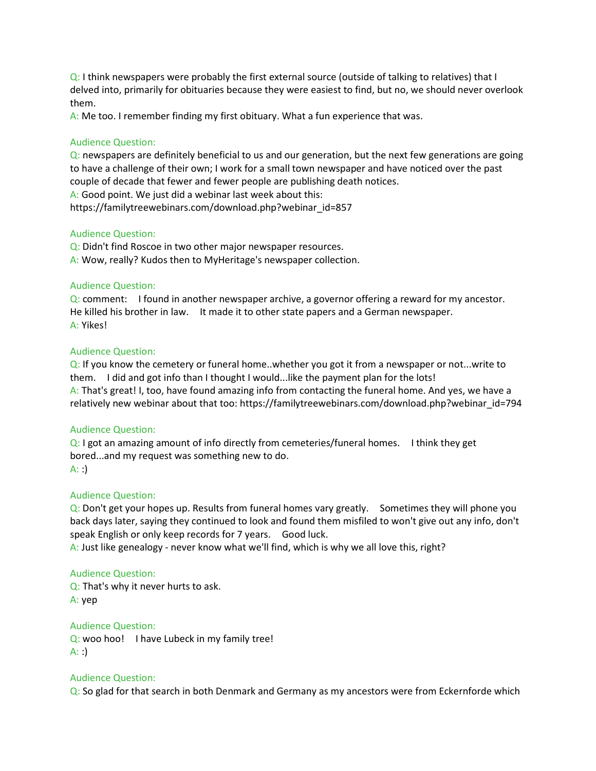Q: I think newspapers were probably the first external source (outside of talking to relatives) that I delved into, primarily for obituaries because they were easiest to find, but no, we should never overlook them.

A: Me too. I remember finding my first obituary. What a fun experience that was.

# Audience Question:

 $Q$ : newspapers are definitely beneficial to us and our generation, but the next few generations are going to have a challenge of their own; I work for a small town newspaper and have noticed over the past couple of decade that fewer and fewer people are publishing death notices.

A: Good point. We just did a webinar last week about this:

https://familytreewebinars.com/download.php?webinar\_id=857

# Audience Question:

Q: Didn't find Roscoe in two other major newspaper resources. A: Wow, really? Kudos then to MyHeritage's newspaper collection.

# Audience Question:

Q: comment: I found in another newspaper archive, a governor offering a reward for my ancestor. He killed his brother in law. It made it to other state papers and a German newspaper. A: Yikes!

# Audience Question:

Q: If you know the cemetery or funeral home..whether you got it from a newspaper or not...write to them. I did and got info than I thought I would...like the payment plan for the lots! A: That's great! I, too, have found amazing info from contacting the funeral home. And yes, we have a relatively new webinar about that too: https://familytreewebinars.com/download.php?webinar\_id=794

#### Audience Question:

Q: I got an amazing amount of info directly from cemeteries/funeral homes. I think they get bored...and my request was something new to do.  $A:$ :

#### Audience Question:

Q: Don't get your hopes up. Results from funeral homes vary greatly. Sometimes they will phone you back days later, saying they continued to look and found them misfiled to won't give out any info, don't speak English or only keep records for 7 years. Good luck.

A: Just like genealogy - never know what we'll find, which is why we all love this, right?

#### Audience Question:

Q: That's why it never hurts to ask. A: yep

# Audience Question:

Q: woo hoo! I have Lubeck in my family tree! A: :)

#### Audience Question:

Q: So glad for that search in both Denmark and Germany as my ancestors were from Eckernforde which